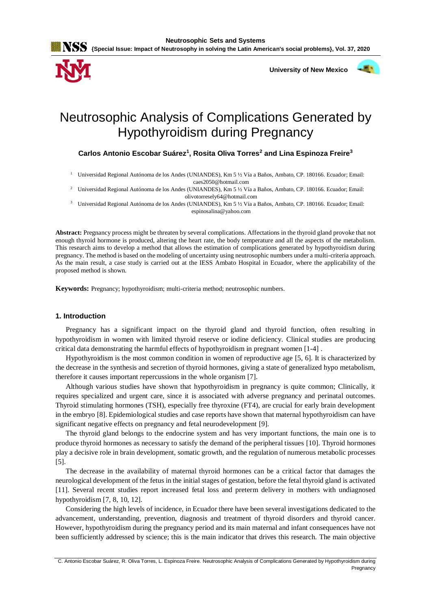



 **University of New Mexico**



# Neutrosophic Analysis of Complications Generated by Hypothyroidism during Pregnancy

**Carlos Antonio Escobar Suárez<sup>1</sup> , Rosita Oliva Torres<sup>2</sup> and Lina Espinoza Freire<sup>3</sup>**

- <sup>1</sup> Universidad Regional Autónoma de los Andes (UNIANDES), Km 5 ½ Vía a Baños, Ambato, CP. 180166. Ecuador; Email: caes2050@hotmail.com
- <sup>2</sup> Universidad Regional Autónoma de los Andes (UNIANDES), Km 5 ½ Vía a Baños, Ambato, CP. 180166. Ecuador; Email: olivotorresely64@hotmail.com
- <sup>3</sup> Universidad Regional Autónoma de los Andes (UNIANDES), Km 5 ½ Vía a Baños, Ambato, CP. 180166. Ecuador; Email: espinosalina@yahoo.com

**Abstract:** Pregnancy process might be threaten by several complications. Affectations in the thyroid gland provoke that not enough thyroid hormone is produced, altering the heart rate, the body temperature and all the aspects of the metabolism. This research aims to develop a method that allows the estimation of complications generated by hypothyroidism during pregnancy. The method is based on the modeling of uncertainty using neutrosophic numbers under a multi-criteria approach. As the main result, a case study is carried out at the IESS Ambato Hospital in Ecuador, where the applicability of the proposed method is shown.

**Keywords:** Pregnancy; hypothyroidism; multi-criteria method; neutrosophic numbers.

# **1. Introduction**

Pregnancy has a significant impact on the thyroid gland and thyroid function, often resulting in hypothyroidism in women with limited thyroid reserve or iodine deficiency. Clinical studies are producing critical data demonstrating the harmful effects of hypothyroidism in pregnant women [\[1-4\]](#page-7-0) .

Hypothyroidism is the most common condition in women of reproductive age [\[5,](#page-7-1) [6\]](#page-7-2). It is characterized by the decrease in the synthesis and secretion of thyroid hormones, giving a state of generalized hypo metabolism, therefore it causes important repercussions in the whole organism [\[7\]](#page-7-3).

Although various studies have shown that hypothyroidism in pregnancy is quite common; Clinically, it requires specialized and urgent care, since it is associated with adverse pregnancy and perinatal outcomes. Thyroid stimulating hormones (TSH), especially free thyroxine (FT4), are crucial for early brain development in the embryo [\[8\]](#page-7-4). Epidemiological studies and case reports have shown that maternal hypothyroidism can have significant negative effects on pregnancy and fetal neurodevelopment [\[9\]](#page-7-5).

The thyroid gland belongs to the endocrine system and has very important functions, the main one is to produce thyroid hormones as necessary to satisfy the demand of the peripheral tissues [\[10\]](#page-8-0). Thyroid hormones play a decisive role in brain development, somatic growth, and the regulation of numerous metabolic processes [\[5\]](#page-7-1).

The decrease in the availability of maternal thyroid hormones can be a critical factor that damages the neurological development of the fetus in the initial stages of gestation, before the fetal thyroid gland is activated [\[11\]](#page-8-1). Several recent studies report increased fetal loss and preterm delivery in mothers with undiagnosed hypothyroidism [\[7,](#page-7-3) [8,](#page-7-4) [10,](#page-8-0) [12\]](#page-8-2).

Considering the high levels of incidence, in Ecuador there have been several investigations dedicated to the advancement, understanding, prevention, diagnosis and treatment of thyroid disorders and thyroid cancer. However, hypothyroidism during the pregnancy period and its main maternal and infant consequences have not been sufficiently addressed by science; this is the main indicator that drives this research. The main objective

C. Antonio Escobar Suárez, R. Oliva Torres, L. Espinoza Freire. Neutrosophic Analysis of Complications Generated by Hypothyroidism during Pregnancy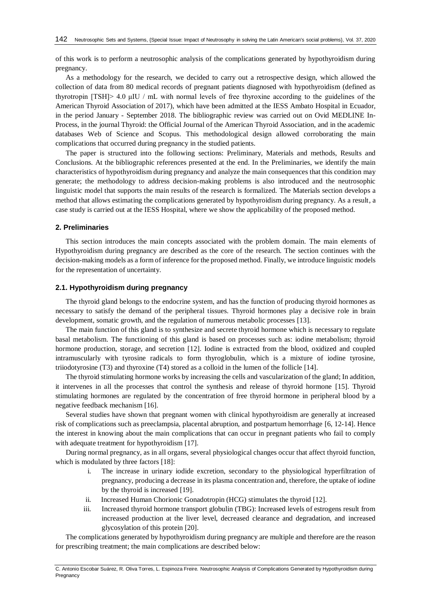of this work is to perform a neutrosophic analysis of the complications generated by hypothyroidism during pregnancy.

As a methodology for the research, we decided to carry out a retrospective design, which allowed the collection of data from 80 medical records of pregnant patients diagnosed with hypothyroidism (defined as thyrotropin [TSH]> 4.0 μIU / mL with normal levels of free thyroxine according to the guidelines of the American Thyroid Association of 2017), which have been admitted at the IESS Ambato Hospital in Ecuador, in the period January - September 2018. The bibliographic review was carried out on Ovid MEDLINE In-Process, in the journal Thyroid: the Official Journal of the American Thyroid Association, and in the academic databases Web of Science and Scopus. This methodological design allowed corroborating the main complications that occurred during pregnancy in the studied patients.

The paper is structured into the following sections: Preliminary, Materials and methods, Results and Conclusions. At the bibliographic references presented at the end. In the Preliminaries, we identify the main characteristics of hypothyroidism during pregnancy and analyze the main consequences that this condition may generate; the methodology to address decision-making problems is also introduced and the neutrosophic linguistic model that supports the main results of the research is formalized. The Materials section develops a method that allows estimating the complications generated by hypothyroidism during pregnancy. As a result, a case study is carried out at the IESS Hospital, where we show the applicability of the proposed method.

## **2. Preliminaries**

This section introduces the main concepts associated with the problem domain. The main elements of Hypothyroidism during pregnancy are described as the core of the research. The section continues with the decision-making models as a form of inference for the proposed method. Finally, we introduce linguistic models for the representation of uncertainty.

## **2.1. Hypothyroidism during pregnancy**

The thyroid gland belongs to the endocrine system, and has the function of producing thyroid hormones as necessary to satisfy the demand of the peripheral tissues. Thyroid hormones play a decisive role in brain development, somatic growth, and the regulation of numerous metabolic processes [\[13\]](#page-8-3).

The main function of this gland is to synthesize and secrete thyroid hormone which is necessary to regulate basal metabolism. The functioning of this gland is based on processes such as: iodine metabolism; thyroid hormone production, storage, and secretion [\[12\]](#page-8-2). Iodine is extracted from the blood, oxidized and coupled intramuscularly with tyrosine radicals to form thyroglobulin, which is a mixture of iodine tyrosine, triiodotyrosine (T3) and thyroxine (T4) stored as a colloid in the lumen of the follicle [\[14\]](#page-8-4).

The thyroid stimulating hormone works by increasing the cells and vascularization of the gland; In addition, it intervenes in all the processes that control the synthesis and release of thyroid hormone [\[15\]](#page-8-5). Thyroid stimulating hormones are regulated by the concentration of free thyroid hormone in peripheral blood by a negative feedback mechanism [\[16\]](#page-8-6).

Several studies have shown that pregnant women with clinical hypothyroidism are generally at increased risk of complications such as preeclampsia, placental abruption, and postpartum hemorrhage [\[6,](#page-7-2) [12-14\]](#page-8-2). Hence the interest in knowing about the main complications that can occur in pregnant patients who fail to comply with adequate treatment for hypothyroidism [\[17\]](#page-8-7).

During normal pregnancy, as in all organs, several physiological changes occur that affect thyroid function, which is modulated by three factors [\[18\]](#page-8-8):

- i. The increase in urinary iodide excretion, secondary to the physiological hyperfiltration of pregnancy, producing a decrease in its plasma concentration and, therefore, the uptake of iodine by the thyroid is increased [\[19\]](#page-8-9).
- ii. Increased Human Chorionic Gonadotropin (HCG) stimulates the thyroid [\[12\]](#page-8-2).
- iii. Increased thyroid hormone transport globulin (TBG): Increased levels of estrogens result from increased production at the liver level, decreased clearance and degradation, and increased glycosylation of this protein [\[20\]](#page-8-10).

The complications generated by hypothyroidism during pregnancy are multiple and therefore are the reason for prescribing treatment; the main complications are described below:

C. Antonio Escobar Suárez, R. Oliva Torres, L. Espinoza Freire. Neutrosophic Analysis of Complications Generated by Hypothyroidism during Pregnancy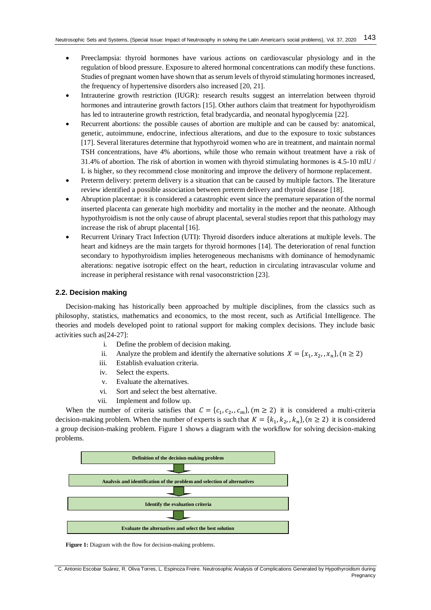- Preeclampsia: thyroid hormones have various actions on cardiovascular physiology and in the regulation of blood pressure. Exposure to altered hormonal concentrations can modify these functions. Studies of pregnant women have shown that as serum levels of thyroid stimulating hormones increased, the frequency of hypertensive disorders also increased [\[20,](#page-8-10) [21\]](#page-8-11).
- Intrauterine growth restriction (IUGR): research results suggest an interrelation between thyroid hormones and intrauterine growth factors [\[15\]](#page-8-5). Other authors claim that treatment for hypothyroidism has led to intrauterine growth restriction, fetal bradycardia, and neonatal hypoglycemia [\[22\]](#page-8-12).
- Recurrent abortions: the possible causes of abortion are multiple and can be caused by: anatomical, genetic, autoimmune, endocrine, infectious alterations, and due to the exposure to toxic substances [\[17\]](#page-8-7). Several literatures determine that hypothyroid women who are in treatment, and maintain normal TSH concentrations, have 4% abortions, while those who remain without treatment have a risk of 31.4% of abortion. The risk of abortion in women with thyroid stimulating hormones is 4.5-10 mIU / L is higher, so they recommend close monitoring and improve the delivery of hormone replacement.
- Preterm delivery: preterm delivery is a situation that can be caused by multiple factors. The literature review identified a possible association between preterm delivery and thyroid disease [\[18\]](#page-8-8).
- Abruption placentae: it is considered a catastrophic event since the premature separation of the normal inserted placenta can generate high morbidity and mortality in the mother and the neonate. Although hypothyroidism is not the only cause of abrupt placental, several studies report that this pathology may increase the risk of abrupt placental [\[16\]](#page-8-6).
- Recurrent Urinary Tract Infection (UTI): Thyroid disorders induce alterations at multiple levels. The heart and kidneys are the main targets for thyroid hormones [\[14\]](#page-8-4). The deterioration of renal function secondary to hypothyroidism implies heterogeneous mechanisms with dominance of hemodynamic alterations: negative isotropic effect on the heart, reduction in circulating intravascular volume and increase in peripheral resistance with renal vasoconstriction [\[23\]](#page-8-13).

## **2.2. Decision making**

Decision-making has historically been approached by multiple disciplines, from the classics such as philosophy, statistics, mathematics and economics, to the most recent, such as Artificial Intelligence. The theories and models developed point to rational support for making complex decisions. They include basic activities such as[\[24-27\]](#page-8-14):

- i. Define the problem of decision making.
- ii. Analyze the problem and identify the alternative solutions  $X = \{x_1, x_2, x_n\}$ ,  $(n \ge 2)$ 
	- iii. Establish evaluation criteria.
	- iv. Select the experts.
	- v. Evaluate the alternatives.
	- vi. Sort and select the best alternative.
	- vii. Implement and follow up.

When the number of criteria satisfies that  $C = \{c_1, c_2, c_m\}$ ,  $(m \ge 2)$  it is considered a multi-criteria decision-making problem. When the number of experts is such that  $K = \{k_1, k_2, , k_n\}$ ,  $(n \ge 2)$  it is considered a group decision-making problem. Figure 1 shows a diagram with the workflow for solving decision-making problems.



**Figure 1:** Diagram with the flow for decision-making problems.

C. Antonio Escobar Suárez, R. Oliva Torres, L. Espinoza Freire. Neutrosophic Analysis of Complications Generated by Hypothyroidism during Pregnancy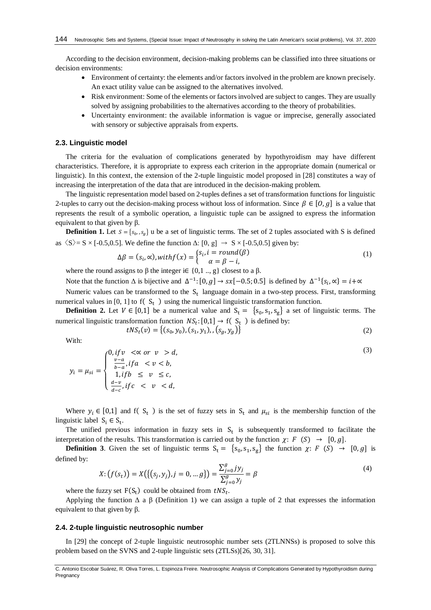According to the decision environment, decision-making problems can be classified into three situations or decision environments:

- Environment of certainty: the elements and/or factors involved in the problem are known precisely. An exact utility value can be assigned to the alternatives involved.
- Risk environment: Some of the elements or factors involved are subject to canges. They are usually solved by assigning probabilities to the alternatives according to the theory of probabilities.
- Uncertainty environment: the available information is vague or imprecise, generally associated with sensory or subjective appraisals from experts.

## **2.3. Linguistic model**

The criteria for the evaluation of complications generated by hypothyroidism may have different characteristics. Therefore, it is appropriate to express each criterion in the appropriate domain (numerical or linguistic). In this context, the extension of the 2-tuple linguistic model proposed in [\[28\]](#page-8-15) constitutes a way of increasing the interpretation of the data that are introduced in the decision-making problem.

The linguistic representation model based on 2-tuples defines a set of transformation functions for linguistic 2-tuples to carry out the decision-making process without loss of information. Since  $\beta \in [0, g]$  is a value that represents the result of a symbolic operation, a linguistic tuple can be assigned to express the information equivalent to that given by β.

**Definition 1.** Let  $S = \{s_0, s_0\}$  u be a set of linguistic terms. The set of 2 tuples associated with S is defined as  $\langle S \rangle = S \times [-0.5, 0.5]$ . We define the function  $\Delta$ :  $[0, g] \rightarrow S \times [-0.5, 0.5]$  given by:

$$
\Delta \beta = (s_i, \infty), with f(x) = \begin{cases} s_i, i = round(\beta) \\ \alpha = \beta - i, \end{cases}
$$
 (1)

where the round assigns to  $\beta$  the integer i $\in \{0, 1, ..., g\}$  closest to a  $\beta$ .

Note that the function  $\Delta$  is bijective and  $\Delta^{-1}$ : [0, g]  $\rightarrow$  sx[-0.5; 0.5] is defined by  $\Delta^{-1}\{s_i, \alpha\} = i + \infty$ 

Numeric values can be transformed to the  $S_t$  language domain in a two-step process. First, transforming numerical values in [0, 1] to  $f(S_t)$  using the numerical linguistic transformation function.

**Definition 2.** Let  $V \in [0,1]$  be a numerical value and  $S_t = \{s_0, s_1, s_g\}$  a set of linguistic terms. The numerical linguistic transformation function  $NS_t$ : [0,1]  $\rightarrow$  f( S<sub>t</sub>) is defined by:

$$
tNS_t(v) = \{(s_0, y_0), (s_1, y_1), (s_g, y_g)\}\tag{2}
$$

With:

$$
c_0, if v < \alpha \text{ or } v > d,
$$
\n
$$
\frac{v-a}{b-a}, if a < v < b,
$$
\n
$$
(3)
$$

$$
y_i = \mu_{si} = \begin{cases} \frac{v-a}{b-a}, & \text{if } a < v < b, \\ 1, & \text{if } b \le v \le c, \\ \frac{d-v}{d-c}, & \text{if } c < v < d, \end{cases}
$$

Where  $y_i \in [0,1]$  and f(S<sub>t</sub>) is the set of fuzzy sets in S<sub>t</sub> and  $\mu_{si}$  is the membership function of the linguistic label  $S_i \in S_t$ .

The unified previous information in fuzzy sets in  $S_t$  is subsequently transformed to facilitate the interpretation of the results. This transformation is carried out by the function  $\chi: F(S) \to [0, g]$ .

**Definition 3**. Given the set of linguistic terms  $S_t = \{s_0, s_1, s_g\}$  the function  $\chi: F(S) \to [0, g]$  is defined by:

$$
X: (f(s_t)) = X(\{(s_j, y_j), j = 0, \dots g\}) = \frac{\sum_{j=0}^{g} j y_j}{\sum_{j=0}^{g} y_j} = \beta
$$
\n(4)

where the fuzzy set  $F(S_t)$  could be obtained from  $tNS_t$ .

Applying the function  $\Delta$  a  $\beta$  (Definition 1) we can assign a tuple of 2 that expresses the information equivalent to that given by  $β$ .

## **2.4. 2-tuple linguistic neutrosophic number**

In [\[29\]](#page-8-16) the concept of 2-tuple linguistic neutrosophic number sets (2TLNNSs) is proposed to solve this problem based on the SVNS and 2-tuple linguistic sets (2TLSs)[\[26,](#page-8-17) [30,](#page-8-18) [31\]](#page-9-0).

C. Antonio Escobar Suárez, R. Oliva Torres, L. Espinoza Freire. Neutrosophic Analysis of Complications Generated by Hypothyroidism during Pregnancy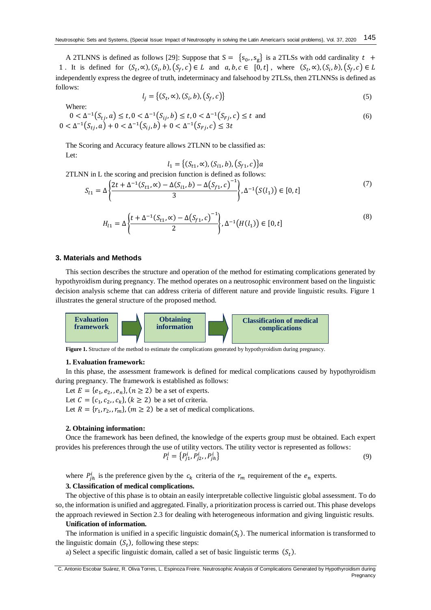A 2TLNNS is defined as follows [\[29\]](#page-8-16): Suppose that  $S = \{s_0, s_g\}$  is a 2TLSs with odd cardinality  $t +$ 1. It is defined for  $(S_t, \infty)$ ,  $(S_i, b)$ ,  $(S_f, c) \in L$  and  $a, b, c \in [0, t]$ , where  $(S_t, \infty)$ ,  $(S_i, b)$ ,  $(S_f, c) \in L$ independently express the degree of truth, indeterminacy and falsehood by 2TLSs, then 2TLNNSs is defined as follows:

$$
l_j = \{(S_t, \infty), (S_i, b), (S_f, c)\}\tag{5}
$$

(7)

Where:

$$
0 < \Delta^{-1}(S_{tj}, a) \le t, 0 < \Delta^{-1}(S_{tj}, b) \le t, 0 < \Delta^{-1}(S_{Fj}, c) \le t \text{ and}
$$
\n
$$
0 < \Delta^{-1}(S_{tj}, a) + 0 < \Delta^{-1}(S_{tj}, b) + 0 < \Delta^{-1}(S_{Fj}, c) \le 3t \tag{6}
$$

The Scoring and Accuracy feature allows 2TLNN to be classified as: Let:

$$
l_1 = \{(S_{t1}, \infty), (S_{t1}, b), (S_{f1}, c)\}a
$$
  
2TLNN in L the scoring and precision function is defined as follows:  

$$
S_{l1} = \Delta \left\{ \frac{2t + \Delta^{-1}(S_{t1}, \infty) - \Delta(S_{i1}, b) - \Delta(S_{f1}, c)^{-1}}{3} \right\}, \Delta^{-1}(S(l_1)) \in [0, t]
$$

$$
H_{l1} = \Delta \left\{ \frac{t + \Delta^{-1}(S_{t1}, \alpha) - \Delta(S_{f1}, c)^{-1}}{2} \right\}, \Delta^{-1}\left(H(l_1)\right) \in [0, t]
$$
\n(8)

## **3. Materials and Methods**

This section describes the structure and operation of the method for estimating complications generated by hypothyroidism during pregnancy. The method operates on a neutrosophic environment based on the linguistic decision analysis scheme that can address criteria of different nature and provide linguistic results. Figure 1 illustrates the general structure of the proposed method.



**Figure 1.** Structure of the method to estimate the complications generated by hypothyroidism during pregnancy.

## **1. Evaluation framework:**

In this phase, the assessment framework is defined for medical complications caused by hypothyroidism during pregnancy. The framework is established as follows:

Let  $E = \{e_1, e_2, e_n\}, (n \ge 2)$  be a set of experts. Let  $C = \{c_1, c_2, c_k\}, (k \ge 2)$  be a set of criteria. Let  $R = \{r_1, r_2, r_m\}$ ,  $(m \ge 2)$  be a set of medical complications.

#### **2. Obtaining information:**

Once the framework has been defined, the knowledge of the experts group must be obtained. Each expert provides his preferences through the use of utility vectors. The utility vector is represented as follows:

$$
P_l^i = \{P_{j1}^i, P_{j2}^i, P_{jh}^i\} \tag{9}
$$

where  $P_{jh}^i$  is the preference given by the  $c_k$  criteria of the  $r_m$  requirement of the  $e_n$  experts.

## **3. Classification of medical complications.**

The objective of this phase is to obtain an easily interpretable collective linguistic global assessment. To do so, the information is unified and aggregated. Finally, a prioritization process is carried out. This phase develops the approach reviewed in Section 2.3 for dealing with heterogeneous information and giving linguistic results.

#### **Unification of information.**

The information is unified in a specific linguistic domain( $S_t$ ). The numerical information is transformed to the linguistic domain  $(S_t)$ , following these steps:

a) Select a specific linguistic domain, called a set of basic linguistic terms  $(S_t)$ .

C. Antonio Escobar Suárez, R. Oliva Torres, L. Espinoza Freire. Neutrosophic Analysis of Complications Generated by Hypothyroidism during **Pregnancy**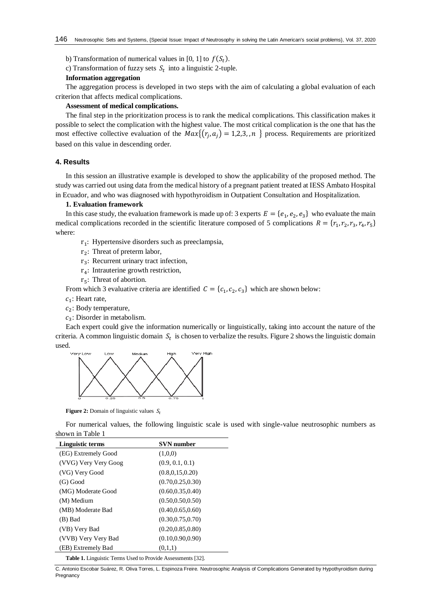b) Transformation of numerical values in [0, 1] to  $f(S_t)$ .

c) Transformation of fuzzy sets  $S_t$  into a linguistic 2-tuple.

## **Information aggregation**

The aggregation process is developed in two steps with the aim of calculating a global evaluation of each criterion that affects medical complications.

## **Assessment of medical complications.**

The final step in the prioritization process is to rank the medical complications. This classification makes it possible to select the complication with the highest value. The most critical complication is the one that has the most effective collective evaluation of the  $Max\{(r_j, a_j) = 1, 2, 3, n\}$  process. Requirements are prioritized based on this value in descending order.

## **4. Results**

In this session an illustrative example is developed to show the applicability of the proposed method. The study was carried out using data from the medical history of a pregnant patient treated at IESS Ambato Hospital in Ecuador, and who was diagnosed with hypothyroidism in Outpatient Consultation and Hospitalization.

## **1. Evaluation framework**

In this case study, the evaluation framework is made up of: 3 experts  $E = \{e_1, e_2, e_3\}$  who evaluate the main medical complications recorded in the scientific literature composed of 5 complications  $R = \{r_1, r_2, r_3, r_4, r_5\}$ where:

- $r_1$ : Hypertensive disorders such as preeclampsia,
- $r_2$ : Threat of preterm labor,
- r<sub>3</sub>: Recurrent urinary tract infection,
- r4: Intrauterine growth restriction,
- $r<sub>5</sub>$ : Threat of abortion.

From which 3 evaluative criteria are identified  $C = \{c_1, c_2, c_3\}$  which are shown below:

- $c_1$ : Heart rate,
- $c_2$ : Body temperature,
- $c_3$ : Disorder in metabolism.

Each expert could give the information numerically or linguistically, taking into account the nature of the criteria. A common linguistic domain  $S_t$  is chosen to verbalize the results. Figure 2 shows the linguistic domain used.



**Figure 2:** Domain of linguistic values  $S_t$ 

For numerical values, the following linguistic scale is used with single-value neutrosophic numbers as shown in Table 1

| Linguistic terms     | <b>SVN</b> number  |  |  |  |  |  |
|----------------------|--------------------|--|--|--|--|--|
| (EG) Extremely Good  | (1,0,0)            |  |  |  |  |  |
| (VVG) Very Very Goog | (0.9, 0.1, 0.1)    |  |  |  |  |  |
| (VG) Very Good       | (0.8, 0.15, 0.20)  |  |  |  |  |  |
| $(G)$ Good           | (0.70, 0.25, 0.30) |  |  |  |  |  |
| (MG) Moderate Good   | (0.60, 0.35, 0.40) |  |  |  |  |  |
| (M) Medium           | (0.50, 0.50, 0.50) |  |  |  |  |  |
| (MB) Moderate Bad    | (0.40, 0.65, 0.60) |  |  |  |  |  |
| (B) Bad              | (0.30, 0.75, 0.70) |  |  |  |  |  |
| (VB) Very Bad        | (0.20, 0.85, 0.80) |  |  |  |  |  |
| (VVB) Very Very Bad  | (0.10, 0.90, 0.90) |  |  |  |  |  |
| (EB) Extremely Bad   | (0,1,1)            |  |  |  |  |  |

**Table 1.** Linguistic Terms Used to Provide Assessments [\[32\]](#page-9-1).

C. Antonio Escobar Suárez, R. Oliva Torres, L. Espinoza Freire. Neutrosophic Analysis of Complications Generated by Hypothyroidism during Pregnancy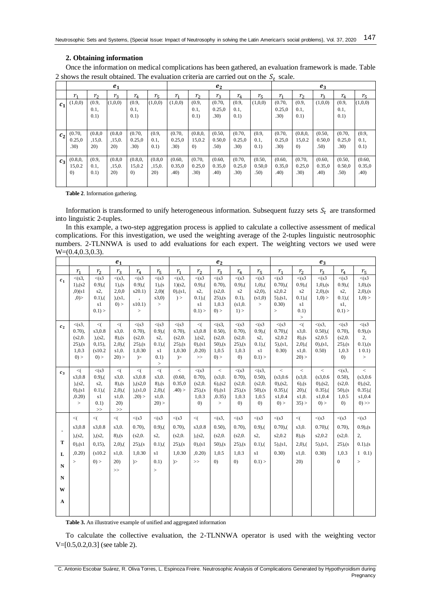## **2. Obtaining information**

Once the information on medical complications has been gathered, an evaluation framework is made. Table 2 shows the result obtained. The evaluation criteria are carried out on the  $S_t$  scale.

|                | e <sub>1</sub>                       |                           |                           |                                         |                           | e <sub>2</sub>                       |                             |                                      |                                      |                          | $e_3$                    |                          |                                      |                                      |                          |
|----------------|--------------------------------------|---------------------------|---------------------------|-----------------------------------------|---------------------------|--------------------------------------|-----------------------------|--------------------------------------|--------------------------------------|--------------------------|--------------------------|--------------------------|--------------------------------------|--------------------------------------|--------------------------|
|                | $r_{1}$                              | r <sub>2</sub>            | $r_{3}$                   | $r_{4}$                                 | $r_{5}$                   | $r_{1}$                              | r <sub>2</sub>              | $r_{3}$                              | $r_{4}$                              | $r_{5}$                  | $r_{1}$                  | r <sub>2</sub>           | $r_{3}$                              | $r_{4}$                              | $r_{5}$                  |
| c <sub>1</sub> | (1,0,0)                              | (0.9,<br>0.1,<br>0.1)     | (1,0,0)                   | (0.9,<br>0.1,<br>0.1)                   | (1,0,0)                   | (1,0,0)                              | (0.9,<br>0.1,<br>0.1)       | (0.70,<br>0.25,0<br>.30)             | (0.9,<br>0.1,<br>(0.1)               | (1,0,0)                  | (0.70,<br>0.25,0<br>.30) | (0.9,<br>0.1,<br>(0.1)   | (1,0,0)                              | (0.9,<br>0.1,<br>0.1)                | (1,0,0)                  |
| c <sub>2</sub> | (0.70,<br>0.25,0<br>.30)             | (0.8, 0)<br>,15,0.<br>20) | (0.8, 0)<br>,15,0.<br>20) | (0.70,<br>0.25,0<br>.30 <sub>0</sub>    | (0.9,<br>0.1,<br>(0.1)    | (0.70,<br>0.25,0<br>.30 <sub>0</sub> | 15,0.2<br>$\left( 0\right)$ | (0.50,<br>0.50,0<br>.50 <sub>0</sub> | (0.70,<br>0.25,0<br>.30 <sub>0</sub> | (0.9,<br>0.1,<br>(0.1)   | (0.70,<br>0.25,0<br>.30) | 15,0.2<br>$\Omega$       | (0.50,<br>0.50,0<br>.50 <sub>0</sub> | (0.70,<br>0.25,0<br>.30 <sub>0</sub> | (0.9,<br>0.1,<br>0.1)    |
| $c_3$          | (0.8, 0, 0, 0)<br>15,0.2<br>$\Omega$ | (0.9,<br>0.1,<br>0.1)     | (0.8, 0)<br>,15,0.<br>20) | (0.8, 0,<br>15,0.2<br>$\left( 0\right)$ | (0.8, 0)<br>,15,0.<br>20) | (0.60,<br>0.35,0<br>.40)             | (0.70,<br>0.25,0<br>.30)    | (0.60,<br>0.35,0<br>.40)             | (0.70,<br>0.25,0<br>.30 <sub>0</sub> | (0.50,<br>0.50,0<br>.50) | (0.60,<br>0.35,0<br>.40) | (0.70,<br>0.25,0<br>.30) | (0.60,<br>0.35,0<br>.40)             | (0.50,<br>0.50,0<br>.50)             | (0.60,<br>0.35,0<br>.40) |

**Table 2**. Information gathering.

Information is transformed to unify heterogeneous information. Subsequent fuzzy sets  $S_t$  are transformed into linguistic 2-tuples.

In this example, a two-step aggregation process is applied to calculate a collective assessment of medical complications. For this investigation, we used the weighting average of the 2-tuples linguistic neutrosophic numbers. 2-TLNNWA is used to add evaluations for each expert. The weighting vectors we used were W= $(0.4, 0.3, 0.3)$ .

|                                                      | $e_1$                                                             |                                                                         |                                                                      |                                                                                  |                                                                        | $e_2$                                                             |                                                                             |                                                                      |                                                                                |                                                                                | $e_3$                                                                |                                                                        |                                                                    |                                                                           |                                                                             |
|------------------------------------------------------|-------------------------------------------------------------------|-------------------------------------------------------------------------|----------------------------------------------------------------------|----------------------------------------------------------------------------------|------------------------------------------------------------------------|-------------------------------------------------------------------|-----------------------------------------------------------------------------|----------------------------------------------------------------------|--------------------------------------------------------------------------------|--------------------------------------------------------------------------------|----------------------------------------------------------------------|------------------------------------------------------------------------|--------------------------------------------------------------------|---------------------------------------------------------------------------|-----------------------------------------------------------------------------|
|                                                      | $r_{1}$                                                           | r <sub>2</sub>                                                          | $r_{3}$                                                              | $r_{4}$                                                                          | $r_{5}$                                                                | $r_{1}$                                                           | r <sub>2</sub>                                                              | $r_3$                                                                | $r_{4}$                                                                        | $r_{5}$                                                                        | $r_{1}$                                                              | r <sub>2</sub>                                                         | $r_3$                                                              | $r_{4}$                                                                   | $r_{5}$                                                                     |
| $c_{1}$                                              | $\leq$ (s3,<br>$1)$ , (s2)<br>,0)(s1)<br>, 0)                     | $\leq$ (s3<br>$(0.9)$ ,<br>$s2$ ,<br>$(0.1)$ , $($<br>s1<br>$0.1$ ) >   | $\leq$ (s3,<br>$1)$ , $(s$<br>2,0,0<br>), (s1,<br>$0$ ) >            | < (s3)<br>$(0.9)$ , $($<br>s20.1)<br>$\overline{\phantom{a}}$<br>s10.1)<br>$\,>$ | < (s3)<br>1), (s<br>2,0(<br>s3,0)<br>$\, >$                            | $\leq$ (s3,<br>1)(s2,<br>(0), (s1),<br>) >                        | < (s3)<br>$(0.9)$ , $($<br>$s2$ ,<br>$(0.1)$ , $($<br>s1<br>$0.1$ ) >       | < (s3)<br>(0.70),<br>(s2,0.<br>$25)$ , (s)<br>1,0.3<br>0) >          | < (s3)<br>$(0.9)$ , $($<br>s2<br>$(0.1)$ ,<br>(s1,0.<br>$1)$ >                 | < (s3)<br>$1,0)$ , $($<br>s2,0),<br>(s1,0)<br>$\, >$                           | < (s3)<br>$(0.70)$ ,<br>s2,0.2<br>$5)$ , (s1,<br>0.30)<br>$\geq$     | < (s3)<br>$(0.9)$ , $($<br>s2<br>$(0.1)$ , $($<br>s1<br>0.1)<br>$\, >$ | $\leq$ (s3<br>$1,0)$ , (s<br>$2,0)$ , (s<br>1,0) >                 | < (s3)<br>$(0.9)$ , $($<br>$s2$ ,<br>$(0.1)$ , $($<br>$s1$ ,<br>$0.1$ ) > | < (s3)<br>$1,0)$ , (s<br>$2,0)$ , (s<br>1,0) >                              |
| c <sub>2</sub>                                       | $\leq$ (s3,<br>$0.70$ ,<br>(s2,0.<br>$25)$ , (s)<br>1,0.3<br>0) > | $\leq$<br>s3,0.8<br>), (s2,<br>$(0, 15)$ ,<br>(s10.2)<br>$0$ ) >        | $\leq$<br>s3,0.<br>$8)$ , (s)<br>$2,0$ , $($<br>s1,0.<br>$20$ ) >    | < (s3)<br>$(0.70)$ ,<br>(s2,0.<br>$25)$ , (s)<br>1,0.30<br>$\geq$                | < (s3)<br>$(0.9)$ ,<br>$s2$ ,<br>$(0.1)$ , $($<br>s1<br>0.1)<br>$\, >$ | < (s3)<br>$0.70$ ),<br>(s2,0.<br>$25)$ .(s)<br>1,0.30<br>$\geq$   | $\leq$<br>s3,0.8<br>), (s2,<br>$(0)$ , $(s1)$<br>,0.20)<br>>                | $\leq$ (s3,<br>$0.50$ ),<br>(s2,0.<br>$50$ ), (s<br>1,0.5<br>0) >    | < (s3)<br>$(0.70)$ ,<br>(s2,0.<br>$25)$ , (s)<br>1,0.3<br>$\left( 0\right)$    | < (s3)<br>$(0.9)$ ,<br>$s2$ ,<br>$(0.1)$ , $($<br>s1<br>$0.1$ ) >              | < (s3)<br>$(0.70)$ ,<br>s2,0.2<br>$5)$ , (s1,<br>0.30)               | $\leq$<br>s3,0.<br>$8)$ , (s)<br>$2,0$ , $($<br>s1,0.<br>$20$ ) >      | $\leq$ (s3,<br>$(0.50)$ ,<br>s2,0.5<br>(0), (s1),<br>0.50)         | < (s3)<br>$(0.70)$ ,<br>(s2,0.<br>$25)$ , (s)<br>1,0.3<br>(0)             | < (s3)<br>$(0.9)$ , $(s)$<br>2,<br>$(0.1)$ , $(s)$<br>10.1)<br>$\, >$       |
| $c_3$                                                | $\leq$<br>s3,0.8<br>), (s2,<br>(0), (s1)<br>, 0.20)<br>$\geq$     | < (s3)<br>$(0.9)$ ,<br>$s2$ ,<br>$(0.1)$ , $($<br>s1<br>(0.1)<br>$>\!>$ | $\leq$<br>s3,0.<br>$8)$ , (s)<br>$2,0$ , $($<br>s1,0.<br>20)<br>$>>$ | $\leq$<br>s3,0.8<br>), (s2,0)<br>), (s1,0)<br>$.20$ ) >                          | $\leq$<br>s3,0.<br>$(8)$ , $(s)$<br>$2,0$ , $($<br>s1,0.<br>$20$ ) >   | $\,<$<br>(0.60,<br>0.35,0<br>.40) >                               | < (s3)<br>$(0.70)$ ,<br>(s2,0.<br>$25)$ , (s)<br>1,0.3<br>$\left( 0\right)$ | $\,<$<br>(s3,0.<br>$6)$ , (s2)<br>$(0)$ , $(s1)$<br>,0.35)<br>$\geq$ | $\leq$ (s3)<br>$0.70$ ,<br>(s2,0.<br>$25)$ , (s)<br>1,0.3<br>$\left( 0\right)$ | $\leq$ (s3,<br>$0.50$ ),<br>(s2,0.<br>$50$ , (s)<br>1,0.5<br>$\left( 0\right)$ | $\lt$<br>(s3,0.6)<br>$(0)$ , (s2,<br>$0.35$ ),(<br>s1,0.4<br>$0$ ) > | $\,<$<br>(s3,0.<br>$6)$ , (s)<br>$20$ ),(<br>s1,0.<br>$35$ ) >         | $\,<$<br>(s3,0.6)<br>(0), (s2),<br>$0.35$ ),(<br>s1,0.4<br>$0$ ) > | $\leq$ (s3,<br>$0.50$ ),<br>(s2,0.<br>$50$ ),(s<br>1,0.5<br>(0)           | $\,<$<br>(s3,0.6)<br>$(0)$ , $(s2)$ ,<br>$0.35$ ),(<br>s1,0.4<br>$0)$ >>    |
| T<br>L<br>${\bf N}$<br>${\bf N}$<br>W<br>$\mathbf A$ | $\leq$<br>s3,0.8<br>), (s2,<br>(0), (s1)<br>,0.20)<br>$\rm{>}$    | $\leq$<br>s3,0.8<br>), (s2,<br>(0, 15),<br>(s10.2)<br>$0$ ) >           | $\leq$<br>s3,0.<br>$8)$ , (s)<br>$2,0$ , $($<br>s1,0.<br>20)<br>$>$  | < (s3)<br>$0.70$ ),<br>(s2,0.<br>$25)$ , (s)<br>1,0.30<br>$\geq$                 | < (s3)<br>$(0.9)$ ,<br>s2,<br>$(0.1)$ , $($<br>s1<br>(0.1)<br>$\geq$   | < (s3)<br>$(0.70)$ ,<br>(s2,0.<br>$25)$ , (s)<br>1,0.30<br>$\geq$ | $\leq$<br>s3,0.8<br>), (s2,<br>$(0)$ , $(51)$<br>,0.20)<br>>                | $\leq$ (s3,<br>$0.50$ ),<br>(s2,0.<br>$50$ , (s<br>1,0.5<br>(0)      | < (s3)<br>$0.70$ ),<br>(s2,0.<br>$25)$ , (s)<br>1,0.3<br>(0)                   | < (s3)<br>$(0.9)$ .<br>$s2$ ,<br>$(0.1)$ , $($<br>s1<br>$0.1$ ) >              | $\leq$ (s3)<br>$(0.70)$ ,<br>s2,0.2<br>$5)$ , (s1,<br>(0.30)         | $\leq$<br>s3,0.<br>$8)$ , (s)<br>$2,0$ , $($<br>s1,0.<br>20)           | < (s3)<br>$(0.70)$ ,<br>s2,0.2<br>$5)$ , (s1,<br>0.30)             | < (s3)<br>$(0.70)$ ,<br>(s2,0.<br>$25)$ , (s)<br>1.0.3<br>$\overline{0}$  | < (s3)<br>$(0.9)$ , $(s)$<br>2,<br>$(0.1)$ , $(s)$<br>$1 \t0.1$<br>$\rm{>}$ |

**Table 3.** An illustrative example of unified and aggregated information

To calculate the collective evaluation, the 2-TLNNWA operator is used with the weighting vector V=[0.5,0.2,0.3] (see table 2).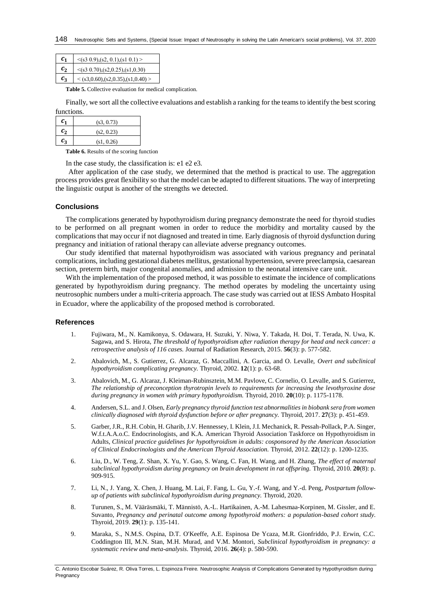| $\mathcal{C}_1$ | $\leq$ (s3 0.9),(s2, 0.1),(s1 0.1) >       |
|-----------------|--------------------------------------------|
| $c_{2}$         | $\leq (s3\; 0.70), (s2, 0.25), (s1, 0.30)$ |
| $c_{\rm a}$     | $\langle$ (s3,0.60),(s2,0.35),(s1,0.40) >  |

**Table 5.** Collective evaluation for medical complication.

Finally, we sort all the collective evaluations and establish a ranking for the teamsto identify the best scoring functions.

| $c_{1}$          | (s3, 0.73) |
|------------------|------------|
| $\mathfrak{c}_2$ | (s2, 0.23) |
| Сz               | (s1, 0.26) |

**Table 6.** Results of the scoring function

In the case study, the classification is: e1 e2 e3.

After application of the case study, we determined that the method is practical to use. The aggregation process provides great flexibility so that the model can be adapted to different situations. The way of interpreting the linguistic output is another of the strengths we detected.

#### **Conclusions**

The complications generated by hypothyroidism during pregnancy demonstrate the need for thyroid studies to be performed on all pregnant women in order to reduce the morbidity and mortality caused by the complications that may occur if not diagnosed and treated in time. Early diagnosis of thyroid dysfunction during pregnancy and initiation of rational therapy can alleviate adverse pregnancy outcomes.

Our study identified that maternal hypothyroidism was associated with various pregnancy and perinatal complications, including gestational diabetes mellitus, gestational hypertension, severe preeclampsia, caesarean section, preterm birth, major congenital anomalies, and admission to the neonatal intensive care unit.

With the implementation of the proposed method, it was possible to estimate the incidence of complications generated by hypothyroidism during pregnancy. The method operates by modeling the uncertainty using neutrosophic numbers under a multi-criteria approach. The case study was carried out at IESS Ambato Hospital in Ecuador, where the applicability of the proposed method is corroborated.

#### **References**

- <span id="page-7-0"></span>1. Fujiwara, M., N. Kamikonya, S. Odawara, H. Suzuki, Y. Niwa, Y. Takada, H. Doi, T. Terada, N. Uwa, K. Sagawa, and S. Hirota, *The threshold of hypothyroidism after radiation therapy for head and neck cancer: a retrospective analysis of 116 cases.* Journal of Radiation Research, 2015. **56**(3): p. 577-582.
- 2. Abalovich, M., S. Gutierrez, G. Alcaraz, G. Maccallini, A. Garcia, and O. Levalle, *Overt and subclinical hypothyroidism complicating pregnancy.* Thyroid, 2002. **12**(1): p. 63-68.
- 3. Abalovich, M., G. Alcaraz, J. Kleiman-Rubinsztein, M.M. Pavlove, C. Cornelio, O. Levalle, and S. Gutierrez, *The relationship of preconception thyrotropin levels to requirements for increasing the levothyroxine dose during pregnancy in women with primary hypothyroidism.* Thyroid, 2010. **20**(10): p. 1175-1178.
- 4. Andersen, S.L. and J. Olsen, *Early pregnancy thyroid function test abnormalities in biobank sera from women clinically diagnosed with thyroid dysfunction before or after pregnancy.* Thyroid, 2017. **27**(3): p. 451-459.
- <span id="page-7-1"></span>5. Garber, J.R., R.H. Cobin, H. Gharib, J.V. Hennessey, I. Klein, J.I. Mechanick, R. Pessah-Pollack, P.A. Singer, W.f.t.A.A.o.C. Endocrinologists, and K.A. American Thyroid Association Taskforce on Hypothyroidism in Adults, *Clinical practice guidelines for hypothyroidism in adults: cosponsored by the American Association of Clinical Endocrinologists and the American Thyroid Association.* Thyroid, 2012. **22**(12): p. 1200-1235.
- <span id="page-7-2"></span>6. Liu, D., W. Teng, Z. Shan, X. Yu, Y. Gao, S. Wang, C. Fan, H. Wang, and H. Zhang, *The effect of maternal subclinical hypothyroidism during pregnancy on brain development in rat offspring.* Thyroid, 2010. **20**(8): p. 909-915.
- <span id="page-7-3"></span>7. Li, N., J. Yang, X. Chen, J. Huang, M. Lai, F. Fang, L. Gu, Y.-f. Wang, and Y.-d. Peng, *Postpartum followup of patients with subclinical hypothyroidism during pregnancy.* Thyroid, 2020.
- <span id="page-7-4"></span>8. Turunen, S., M. Vääräsmäki, T. Männistö, A.-L. Hartikainen, A.-M. Lahesmaa-Korpinen, M. Gissler, and E. Suvanto, *Pregnancy and perinatal outcome among hypothyroid mothers: a population-based cohort study.* Thyroid, 2019. **29**(1): p. 135-141.
- <span id="page-7-5"></span>9. Maraka, S., N.M.S. Ospina, D.T. O'Keeffe, A.E. Espinosa De Ycaza, M.R. Gionfriddo, P.J. Erwin, C.C. Coddington III, M.N. Stan, M.H. Murad, and V.M. Montori, *Subclinical hypothyroidism in pregnancy: a systematic review and meta-analysis.* Thyroid, 2016. **26**(4): p. 580-590.

C. Antonio Escobar Suárez, R. Oliva Torres, L. Espinoza Freire. Neutrosophic Analysis of Complications Generated by Hypothyroidism during Pregnancy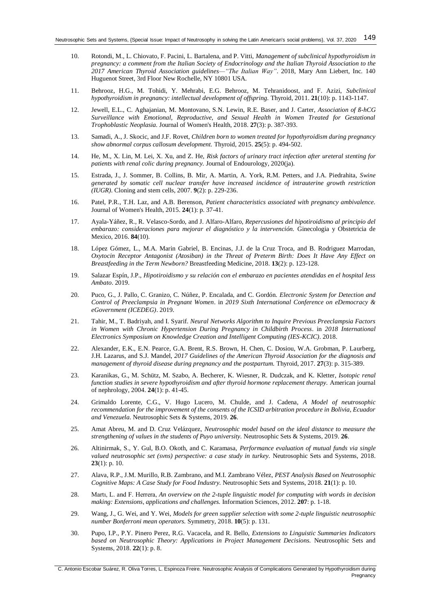- <span id="page-8-0"></span>10. Rotondi, M., L. Chiovato, F. Pacini, L. Bartalena, and P. Vitti, *Management of subclinical hypothyroidism in pregnancy: a comment from the Italian Society of Endocrinology and the Italian Thyroid Association to the 2017 American Thyroid Association guidelines—"The Italian Way"*. 2018, Mary Ann Liebert, Inc. 140 Huguenot Street, 3rd Floor New Rochelle, NY 10801 USA.
- <span id="page-8-1"></span>11. Behrooz, H.G., M. Tohidi, Y. Mehrabi, E.G. Behrooz, M. Tehranidoost, and F. Azizi, *Subclinical hypothyroidism in pregnancy: intellectual development of offspring.* Thyroid, 2011. **21**(10): p. 1143-1147.
- <span id="page-8-2"></span>12. Jewell, E.L., C. Aghajanian, M. Montovano, S.N. Lewin, R.E. Baser, and J. Carter, *Association of ß-hCG Surveillance with Emotional, Reproductive, and Sexual Health in Women Treated for Gestational Trophoblastic Neoplasia.* Journal of Women's Health, 2018. **27**(3): p. 387-393.
- <span id="page-8-3"></span>13. Samadi, A., J. Skocic, and J.F. Rovet, *Children born to women treated for hypothyroidism during pregnancy show abnormal corpus callosum development.* Thyroid, 2015. **25**(5): p. 494-502.
- <span id="page-8-4"></span>14. He, M., X. Lin, M. Lei, X. Xu, and Z. He, *Risk factors of urinary tract infection after ureteral stenting for patients with renal colic during pregnancy.* Journal of Endourology, 2020(ja).
- <span id="page-8-5"></span>15. Estrada, J., J. Sommer, B. Collins, B. Mir, A. Martin, A. York, R.M. Petters, and J.A. Piedrahita, *Swine generated by somatic cell nuclear transfer have increased incidence of intrauterine growth restriction (IUGR).* Cloning and stem cells, 2007. **9**(2): p. 229-236.
- <span id="page-8-6"></span>16. Patel, P.R., T.H. Laz, and A.B. Berenson, *Patient characteristics associated with pregnancy ambivalence.* Journal of Women's Health, 2015. **24**(1): p. 37-41.
- <span id="page-8-7"></span>17. Ayala-Yáñez, R., R. Velasco-Sordo, and J. Alfaro-Alfaro, *Repercusiones del hipotiroidismo al principio del embarazo: consideraciones para mejorar el diagnóstico y la intervención.* Ginecologia y Obstetricia de Mexico, 2016. **84**(10).
- <span id="page-8-8"></span>18. López Gómez, L., M.A. Marin Gabriel, B. Encinas, J.J. de la Cruz Troca, and B. Rodriguez Marrodan, *Oxytocin Receptor Antagonist (Atosiban) in the Threat of Preterm Birth: Does It Have Any Effect on Breastfeeding in the Term Newborn?* Breastfeeding Medicine, 2018. **13**(2): p. 123-128.
- <span id="page-8-9"></span>19. Salazar Espín, J.P., *Hipotiroidismo y su relación con el embarazo en pacientes atendidas en el hospital Iess Ambato*. 2019.
- <span id="page-8-10"></span>20. Puco, G., J. Pallo, C. Granizo, C. Núñez, P. Encalada, and C. Gordón. *Electronic System for Detection and Control of Preeclampsia in Pregnant Women*. in *2019 Sixth International Conference on eDemocracy & eGovernment (ICEDEG)*. 2019.
- <span id="page-8-11"></span>21. Tahir, M., T. Badriyah, and I. Syarif. *Neural Networks Algorithm to Inquire Previous Preeclampsia Factors in Women with Chronic Hypertension During Pregnancy in Childbirth Process*. in *2018 International Electronics Symposium on Knowledge Creation and Intelligent Computing (IES-KCIC)*. 2018.
- <span id="page-8-12"></span>22. Alexander, E.K., E.N. Pearce, G.A. Brent, R.S. Brown, H. Chen, C. Dosiou, W.A. Grobman, P. Laurberg, J.H. Lazarus, and S.J. Mandel, *2017 Guidelines of the American Thyroid Association for the diagnosis and management of thyroid disease during pregnancy and the postpartum.* Thyroid, 2017. **27**(3): p. 315-389.
- <span id="page-8-13"></span>23. Karanikas, G., M. Schütz, M. Szabo, A. Becherer, K. Wiesner, R. Dudczak, and K. Kletter, *Isotopic renal function studies in severe hypothyroidism and after thyroid hormone replacement therapy.* American journal of nephrology, 2004. **24**(1): p. 41-45.
- <span id="page-8-14"></span>24. Grimaldo Lorente, C.G., V. Hugo Lucero, M. Chulde, and J. Cadena, *A Model of neutrosophic recommendation for the improvement of the consents of the ICSID arbitration procedure in Bolivia, Ecuador and Venezuela.* Neutrosophic Sets & Systems, 2019. **26**.
- 25. Amat Abreu, M. and D. Cruz Velázquez, *Neutrosophic model based on the ideal distance to measure the strengthening of values in the students of Puyo university.* Neutrosophic Sets & Systems, 2019. **26**.
- <span id="page-8-17"></span>26. Altinirmak, S., Y. Gul, B.O. Okoth, and C. Karamasa, *Performance evaluation of mutual funds via single valued neutrosophic set (svns) perspective: a case study in turkey.* Neutrosophic Sets and Systems, 2018. **23**(1): p. 10.
- 27. Alava, R.P., J.M. Murillo, R.B. Zambrano, and M.I. Zambrano Vélez, *PEST Analysis Based on Neutrosophic Cognitive Maps: A Case Study for Food Industry.* Neutrosophic Sets and Systems, 2018. **21**(1): p. 10.
- <span id="page-8-15"></span>28. Martı, L. and F. Herrera, *An overview on the 2-tuple linguistic model for computing with words in decision making: Extensions, applications and challenges.* Information Sciences, 2012. **207**: p. 1-18.
- <span id="page-8-16"></span>29. Wang, J., G. Wei, and Y. Wei, *Models for green supplier selection with some 2-tuple linguistic neutrosophic number Bonferroni mean operators.* Symmetry, 2018. **10**(5): p. 131.
- <span id="page-8-18"></span>30. Pupo, I.P., P.Y. Pinero Perez, R.G. Vacacela, and R. Bello, *Extensions to Linguistic Summaries Indicators based on Neutrosophic Theory: Applications in Project Management Decisions.* Neutrosophic Sets and Systems, 2018. **22**(1): p. 8.

C. Antonio Escobar Suárez, R. Oliva Torres, L. Espinoza Freire. Neutrosophic Analysis of Complications Generated by Hypothyroidism during Pregnancy